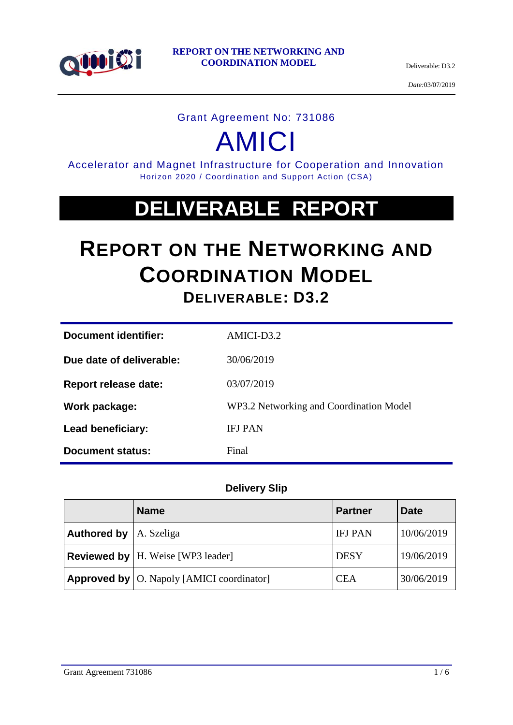

*Date:*03/07/2019

#### Grant Agreement No: 731086

# AMICI

Accelerator and Magnet Infrastructure for Cooperation and Innovation Horizon 2020 / Coordination and Support Action (CSA)

## **DELIVERABLE REPORT**

## **REPORT ON THE NETWORKING AND COORDINATION MODEL DELIVERABLE: D3.2**

| Document identifier:        | AMICI-D3.2                              |
|-----------------------------|-----------------------------------------|
| Due date of deliverable:    | 30/06/2019                              |
| <b>Report release date:</b> | 03/07/2019                              |
| Work package:               | WP3.2 Networking and Coordination Model |
| Lead beneficiary:           | <b>IFJ PAN</b>                          |
| Document status:            | Final                                   |

#### **Delivery Slip**

|                                  | <b>Name</b>                                        | <b>Partner</b> | Date       |
|----------------------------------|----------------------------------------------------|----------------|------------|
| <b>Authored by</b> $ A. Szeliga$ |                                                    | <b>IFJ PAN</b> | 10/06/2019 |
|                                  | <b>Reviewed by</b>   H. Weise [WP3 leader]         | <b>DESY</b>    | 19/06/2019 |
|                                  | <b>Approved by</b>   O. Napoly [AMICI coordinator] | <b>CEA</b>     | 30/06/2019 |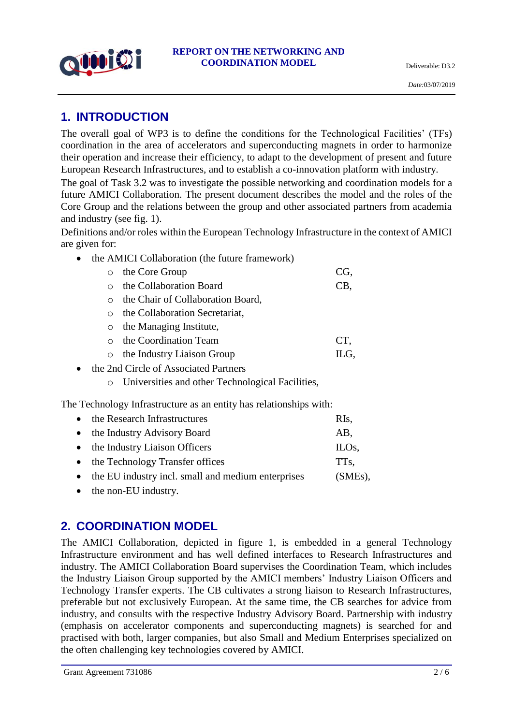

## **1. INTRODUCTION**

The overall goal of WP3 is to define the conditions for the Technological Facilities' (TFs) coordination in the area of accelerators and superconducting magnets in order to harmonize their operation and increase their efficiency, to adapt to the development of present and future European Research Infrastructures, and to establish a co-innovation platform with industry.

The goal of Task 3.2 was to investigate the possible networking and coordination models for a future AMICI Collaboration. The present document describes the model and the roles of the Core Group and the relations between the group and other associated partners from academia and industry (see fig. 1).

Definitions and/or roles within the European Technology Infrastructure in the context of AMICI are given for:

• the AMICI Collaboration (the future framework)

| $\circ$ the Core Group             | CG.  |
|------------------------------------|------|
| the Collaboration Board            | CB,  |
| the Chair of Collaboration Board,  |      |
| the Collaboration Secretariat,     |      |
| $\circ$ the Managing Institute,    |      |
| the Coordination Team              | CT.  |
| $\circ$ the Industry Liaison Group | ILG. |

- the 2nd Circle of Associated Partners
	- o Universities and other Technological Facilities,

The Technology Infrastructure as an entity has relationships with:

| • the Research Infrastructures                       | RIs,               |
|------------------------------------------------------|--------------------|
| • the Industry Advisory Board                        | AB,                |
| • the Industry Liaison Officers                      | ILO <sub>s</sub> , |
| • the Technology Transfer offices                    | TT <sub>s</sub> ,  |
| • the EU industry incl. small and medium enterprises | $(SMEs)$ ,         |
|                                                      |                    |

• the non-EU industry.

### **2. COORDINATION MODEL**

The AMICI Collaboration, depicted in figure 1, is embedded in a general Technology Infrastructure environment and has well defined interfaces to Research Infrastructures and industry. The AMICI Collaboration Board supervises the Coordination Team, which includes the Industry Liaison Group supported by the AMICI members' Industry Liaison Officers and Technology Transfer experts. The CB cultivates a strong liaison to Research Infrastructures, preferable but not exclusively European. At the same time, the CB searches for advice from industry, and consults with the respective Industry Advisory Board. Partnership with industry (emphasis on accelerator components and superconducting magnets) is searched for and practised with both, larger companies, but also Small and Medium Enterprises specialized on the often challenging key technologies covered by AMICI.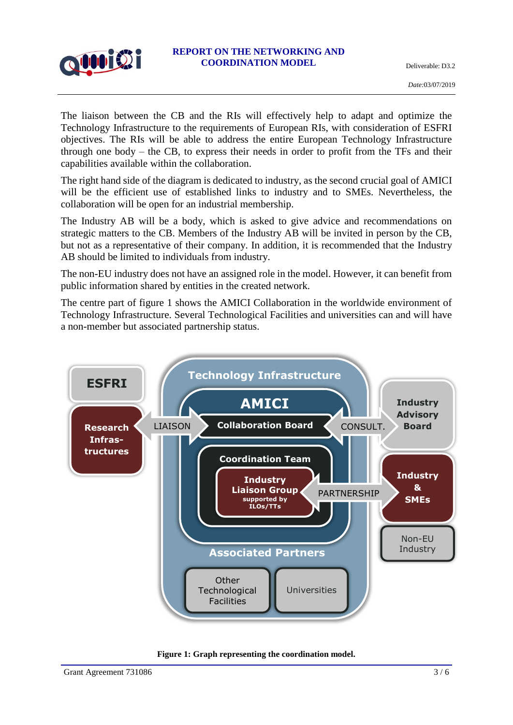

The liaison between the CB and the RIs will effectively help to adapt and optimize the Technology Infrastructure to the requirements of European RIs, with consideration of ESFRI objectives. The RIs will be able to address the entire European Technology Infrastructure through one body – the CB, to express their needs in order to profit from the TFs and their capabilities available within the collaboration.

The right hand side of the diagram is dedicated to industry, as the second crucial goal of AMICI will be the efficient use of established links to industry and to SMEs. Nevertheless, the collaboration will be open for an industrial membership.

The Industry AB will be a body, which is asked to give advice and recommendations on strategic matters to the CB. Members of the Industry AB will be invited in person by the CB, but not as a representative of their company. In addition, it is recommended that the Industry AB should be limited to individuals from industry.

The non-EU industry does not have an assigned role in the model. However, it can benefit from public information shared by entities in the created network.

The centre part of figure 1 shows the AMICI Collaboration in the worldwide environment of Technology Infrastructure. Several Technological Facilities and universities can and will have a non-member but associated partnership status.



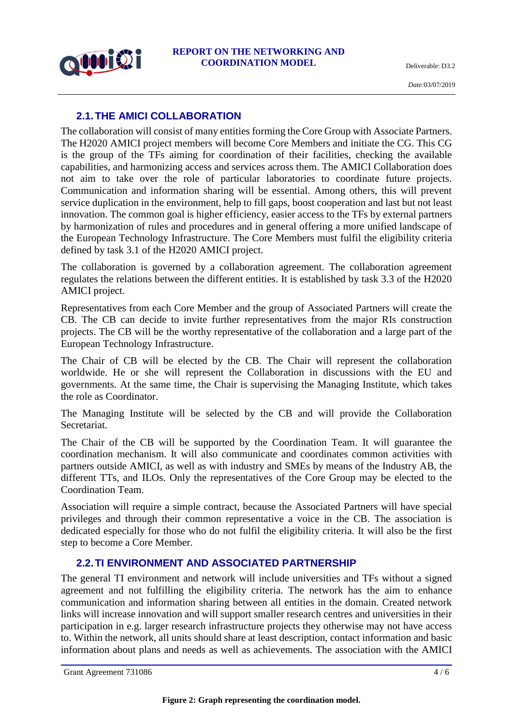

#### **2.1.THE AMICI COLLABORATION**

The collaboration will consist of many entities forming the Core Group with Associate Partners. The H2020 AMICI project members will become Core Members and initiate the CG. This CG is the group of the TFs aiming for coordination of their facilities, checking the available capabilities, and harmonizing access and services across them. The AMICI Collaboration does not aim to take over the role of particular laboratories to coordinate future projects. Communication and information sharing will be essential. Among others, this will prevent service duplication in the environment, help to fill gaps, boost cooperation and last but not least innovation. The common goal is higher efficiency, easier access to the TFs by external partners by harmonization of rules and procedures and in general offering a more unified landscape of the European Technology Infrastructure. The Core Members must fulfil the eligibility criteria defined by task 3.1 of the H2020 AMICI project.

The collaboration is governed by a collaboration agreement. The collaboration agreement regulates the relations between the different entities. It is established by task 3.3 of the H2020 AMICI project.

Representatives from each Core Member and the group of Associated Partners will create the CB. The CB can decide to invite further representatives from the major RIs construction projects. The CB will be the worthy representative of the collaboration and a large part of the European Technology Infrastructure.

The Chair of CB will be elected by the CB. The Chair will represent the collaboration worldwide. He or she will represent the Collaboration in discussions with the EU and governments. At the same time, the Chair is supervising the Managing Institute, which takes the role as Coordinator.

The Managing Institute will be selected by the CB and will provide the Collaboration Secretariat.

The Chair of the CB will be supported by the Coordination Team. It will guarantee the coordination mechanism. It will also communicate and coordinates common activities with partners outside AMICI, as well as with industry and SMEs by means of the Industry AB, the different TTs, and ILOs. Only the representatives of the Core Group may be elected to the Coordination Team.

Association will require a simple contract, because the Associated Partners will have special privileges and through their common representative a voice in the CB. The association is dedicated especially for those who do not fulfil the eligibility criteria. It will also be the first step to become a Core Member.

#### **2.2.TI ENVIRONMENT AND ASSOCIATED PARTNERSHIP**

The general TI environment and network will include universities and TFs without a signed agreement and not fulfilling the eligibility criteria. The network has the aim to enhance communication and information sharing between all entities in the domain. Created network links will increase innovation and will support smaller research centres and universities in their participation in e.g. larger research infrastructure projects they otherwise may not have access to. Within the network, all units should share at least description, contact information and basic information about plans and needs as well as achievements. The association with the AMICI

Grant Agreement 731086  $4/6$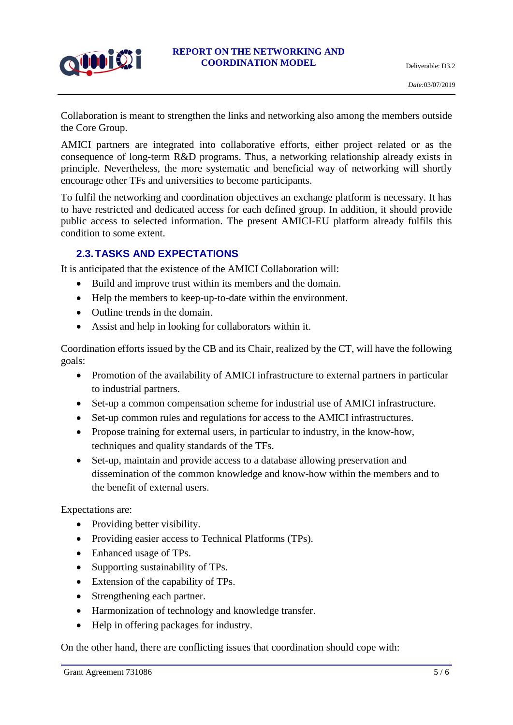

Collaboration is meant to strengthen the links and networking also among the members outside the Core Group.

AMICI partners are integrated into collaborative efforts, either project related or as the consequence of long-term R&D programs. Thus, a networking relationship already exists in principle. Nevertheless, the more systematic and beneficial way of networking will shortly encourage other TFs and universities to become participants.

To fulfil the networking and coordination objectives an exchange platform is necessary. It has to have restricted and dedicated access for each defined group. In addition, it should provide public access to selected information. The present AMICI-EU platform already fulfils this condition to some extent.

#### **2.3.TASKS AND EXPECTATIONS**

It is anticipated that the existence of the AMICI Collaboration will:

- Build and improve trust within its members and the domain.
- Help the members to keep-up-to-date within the environment.
- Outline trends in the domain.
- Assist and help in looking for collaborators within it.

Coordination efforts issued by the CB and its Chair, realized by the CT, will have the following goals:

- Promotion of the availability of AMICI infrastructure to external partners in particular to industrial partners.
- Set-up a common compensation scheme for industrial use of AMICI infrastructure.
- Set-up common rules and regulations for access to the AMICI infrastructures.
- Propose training for external users, in particular to industry, in the know-how, techniques and quality standards of the TFs.
- Set-up, maintain and provide access to a database allowing preservation and dissemination of the common knowledge and know-how within the members and to the benefit of external users.

Expectations are:

- Providing better visibility.
- Providing easier access to Technical Platforms (TPs).
- Enhanced usage of TPs.
- Supporting sustainability of TPs.
- Extension of the capability of TPs.
- Strengthening each partner.
- Harmonization of technology and knowledge transfer.
- Help in offering packages for industry.

On the other hand, there are conflicting issues that coordination should cope with: